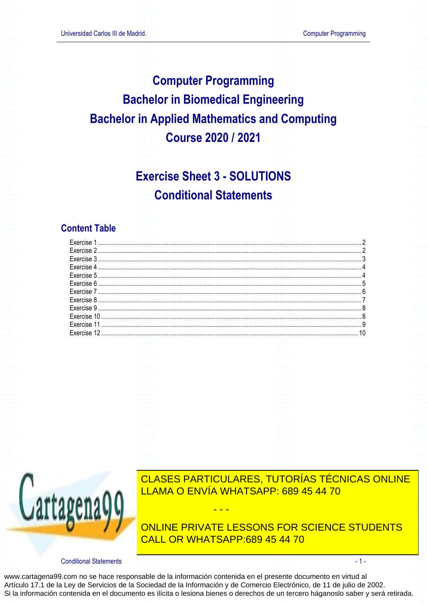## **Computer Programming Bachelor in Biomedical Engineering Bachelor in Applied Mathematics and Computing Course 2020 / 2021**

## **Exercise Sheet 3 - SOLUTIONS Conditional Statements**

### **Content Table**

|  | Exercise 3 |  |
|--|------------|--|
|  |            |  |
|  |            |  |
|  |            |  |
|  |            |  |
|  |            |  |
|  |            |  |
|  |            |  |
|  |            |  |
|  |            |  |
|  |            |  |



CLASES PARTICULARES, TUTORÍAS TÉCNICAS ONLINE LLAMA O ENVÍA WHATSAPP: 689 45 44 70

ONLINE PRIVATE LESSONS FOR SCIENCE STUDENTS CALL OR WHATSAPP:689 45 44 70

 $-1-$ 

**Conditional Statements**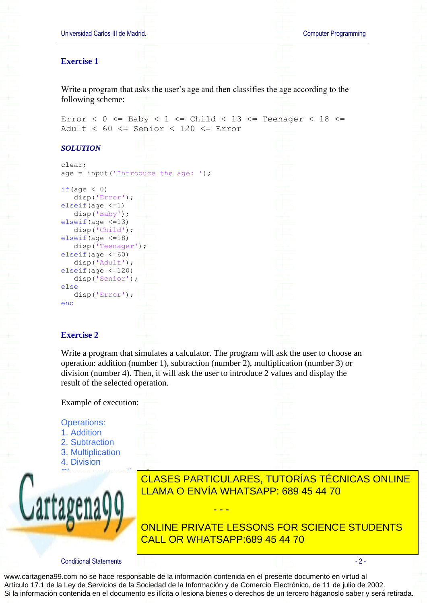

www.cartagena99.com no se hace responsable de la información contenida en el presente documento en virtud al Artículo 17.1 de la Ley de Servicios de la Sociedad de la Información y de Comercio Electrónico, de 11 de julio de 2002. Si la información contenida en el documento es ilícita o lesiona bienes o derechos de un tercero háganoslo saber y será retirada.

## <u>INTRODUCE and another numbers and another numbers and another numbers and another numbers are a</u> CLASES PARTICULARES, TUTORÍAS TÉCNICAS ONLINE

- - -

ONLINE PRIVATE LESSONS FOR SCIENCE STUDENTS CALL OR WHATSAPP:689 45 44 70

<span id="page-1-1"></span>Write a program that simulates a calculator. The program will ask the user to choose an operation: addition (number 1), subtraction (number 2), multiplication (number 3) or division (number 4). Then, it will ask the user to introduce 2 values and display the

# <span id="page-1-0"></span>Universidad Carlos III de Madrid. Computer Programming Write a program that asks the user's age and then classifies the age according to the Error <  $0$  <= Baby <  $1$  <= Child <  $13$  <= Teenager <  $18$  <= Adult < 60 <= Senior < 120 <= Error age = input ('Introduce the age: ');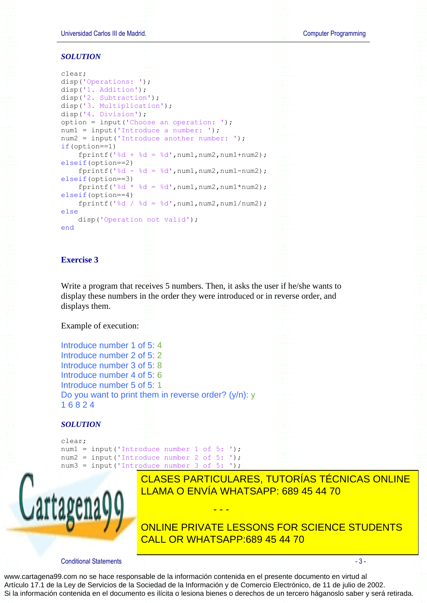Universidad Carlos III de Madrid. Computer Programming

#### *SOLUTION*

| clear;                                          |  |  |  |
|-------------------------------------------------|--|--|--|
| disp('Operations: ');                           |  |  |  |
| disp('1. Addition');                            |  |  |  |
| $disp('2. Subtraction')$ ;                      |  |  |  |
| disp('3. Multiplication');                      |  |  |  |
| disp('4. Division');                            |  |  |  |
| option = input('Choose an operation: ');        |  |  |  |
| $num1 = input('Introduce a number: ');$         |  |  |  |
| $num2 = input('Introduce another number: ');$   |  |  |  |
| $if (option==1)$                                |  |  |  |
| fprintf('%d + %d = %d', num1, num2, num1+num2); |  |  |  |
| elseif (option==2)                              |  |  |  |
| fprintf('%d - %d = %d', num1, num2, num1-num2); |  |  |  |
| elseif(option==3)                               |  |  |  |
| fprintf('%d * %d = %d', num1, num2, num1*num2); |  |  |  |
| $elseif(option==4)$                             |  |  |  |
| fprintf('%d / %d = %d', num1, num2, num1/num2); |  |  |  |
| else                                            |  |  |  |
| disp('Operation not valid');                    |  |  |  |
| end                                             |  |  |  |
|                                                 |  |  |  |
|                                                 |  |  |  |

#### <span id="page-2-0"></span>**Exercise 3**

Write a program that receives 5 numbers. Then, it asks the user if he/she wants to display these numbers in the order they were introduced or in reverse order, and displays them.

Example of execution:

Introduce number 1 of 5: 4 Introduce number 2 of 5: 2 Introduce number 3 of 5: 8 Introduce number 4 of 5: 6 Introduce number 5 of 5: 1 Do you want to print them in reverse order? (y/n): y 1 6 8 2 4

#### *SOLUTION*

clear; num1 = input('Introduce number 1 of 5: '); num2 = input('Introduce number 2 of 5: '); num3 = input('Introduce number 3 of 5: ');



INUMBER CLASES PARTICULARES, TUTORÍAS TÉCNICAS ONLINE <u>reverse to print the input of the bring to print them in reverse order</u>  $\overline{\phantom{a}}$  LLAMA O ENVÍA WHATSAPP: 689 45 44 70

**TO CONLINE PRIVATE LESSONS FOR SCIENCE STUDENTS** CALL OR WHATSAPP:689 45 44 70

Conditional Statements - 3 -

www.cartagena99.com no se hace responsable de la información contenida en el presente documento en virtud al Artículo 17.1 de la Ley de Servicios de la Sociedad de la Información y de Comercio Electrónico, de 11 de julio de 2002. Si la información contenida en el documento es ilícita o lesiona bienes o derechos de un tercero háganoslo saber y será retirada.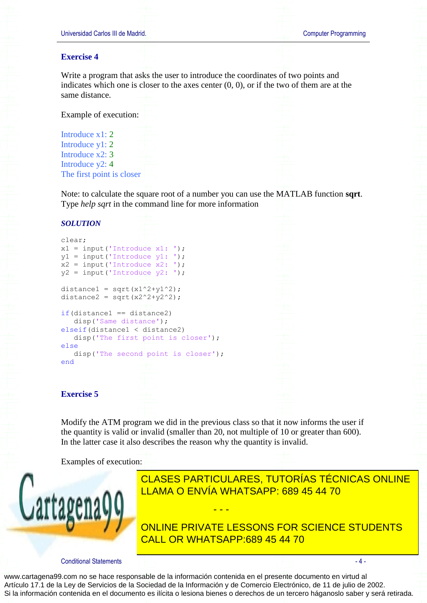#### <span id="page-3-0"></span>**Exercise 4**

Write a program that asks the user to introduce the coordinates of two points and indicates which one is closer to the axes center  $(0, 0)$ , or if the two of them are at the same distance.

Example of execution:

Introduce x1: 2 Introduce y1: 2 Introduce x2: 3 Introduce y2: 4 The first point is closer



Note: to calculate the square root of a number you can use the MATLAB function **sqrt**. Type *help sqrt* in the command line for more information

#### *SOLUTION*

```
clear;
x1 = input('Introduce x1: ');y1 = input('Introduce_{y1}: ');x2 = input('Introduce x2: ');y2 = input('Introduce y2: ');distance1 = sqrt(x1^2+y1^2);
distance2 = sqrt(x2^2+y2^2);
if(distance1 == distance2)
    disp('Same distance');
elseif(distance1 < distance2)
   disp('The first point is closer');
else
   disp('The second point is closer');
end
```
#### <span id="page-3-1"></span>**Exercise 5**

Modify the ATM program we did in the previous class so that it now informs the user if the quantity is valid or invalid (smaller than 20, not multiple of 10 or greater than 600). In the latter case it also describes the reason why the quantity is invalid.

- - -

Examples of execution:



ERROR. AND LITTLE IS NOT VALID VALID VALID VALID VALID VALID VALID VALID VALID VALID VALID VALID VALID VALID V CLASES PARTICULARES, TUTORÍAS TÉCNICAS ONLINE

Error. Quantity is not valid CALL OR WHATSAPP:689 45 44 70 ONLINE PRIVATE LESSONS FOR SCIENCE STUDENTS

Conditional Statements - 4 -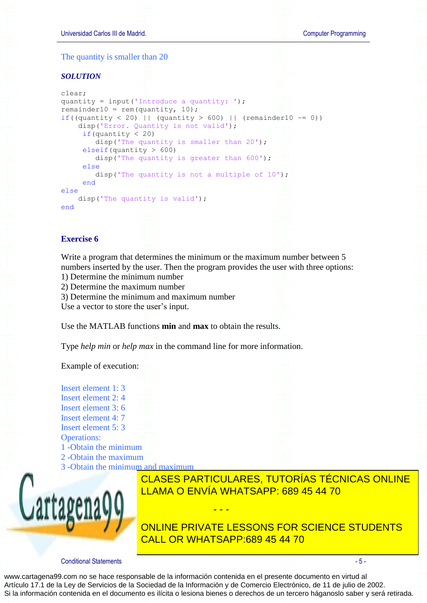<span id="page-4-0"></span>

Conditional Statements - 5 -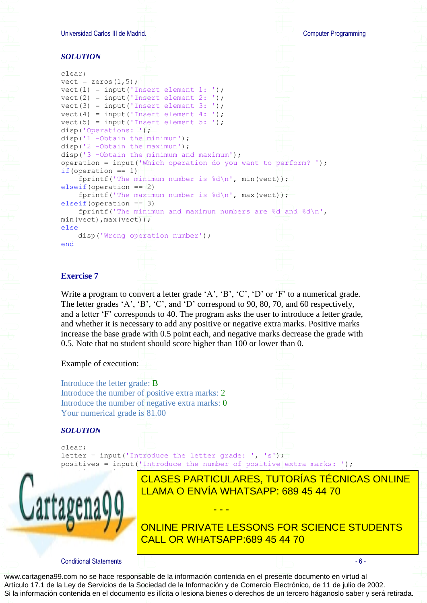Universidad Carlos III de Madrid. Computer Programming *SOLUTION* clear; vect = zeros $(1, 5)$ ;  $vect(1) = input('Insert element 1: ');$ vect(2) = input('Insert element 2: '); vect(3) = input('Insert element 3: '); vect(4) = input('Insert element 4: '); vect(5) = input('Insert element 5: '); disp('Operations: '); disp('1 -Obtain the minimun'); disp('2 -Obtain the maximun'); disp('3 -Obtain the minimum and maximum'); operation = input('Which operation do you want to perform? '); if(operation  $== 1)$ ) fprintf('The minimum number is  $d\n\cdot$ ', min(vect)); elseif(operation  $==$  2) fprintf('The maximum number is %d\n', max(vect)); elseif(operation  $==$  3) fprintf('The minimun and maximun numbers are %d and %d\n', min(vect),max(vect)); else disp('Wrong operation number'); end

#### <span id="page-5-0"></span>**Exercise 7**

Write a program to convert a letter grade 'A', 'B', 'C', 'D' or 'F' to a numerical grade. The letter grades 'A', 'B', 'C', and 'D' correspond to 90, 80, 70, and 60 respectively, and a letter 'F' corresponds to 40. The program asks the user to introduce a letter grade, and whether it is necessary to add any positive or negative extra marks. Positive marks increase the base grade with 0.5 point each, and negative marks decrease the grade with 0.5. Note that no student should score higher than 100 or lower than 0.

Example of execution:

Introduce the letter grade: B Introduce the number of positive extra marks: 2 Introduce the number of negative extra marks: 0 Your numerical grade is 81.00

#### *SOLUTION*

clear; letter = input('Introduce the letter grade: ', 's'); positives = input ('Introduce the number of positive extra marks: ');



negatives = input('Introduce the number of negative extra marks: '); CLASES PARTICULARES, TUTORÍAS TÉCNICAS ONLINE LLAMA O ENVÍA WHATSAPP: 689 45 44 70

elseif in der <mark>CALL OR WHATSAPP:689 45 44 70</mark> ONLINE PRIVATE LESSONS FOR SCIENCE STUDENTS

Conditional Statements - 6 -

www.cartagena99.com no se hace responsable de la información contenida en el presente documento en virtud al Artículo 17.1 de la Ley de Servicios de la Sociedad de la Información y de Comercio Electrónico, de 11 de julio de 2002. Si la información contenida en el documento es ilícita o lesiona bienes o derechos de un tercero háganoslo saber y será retirada.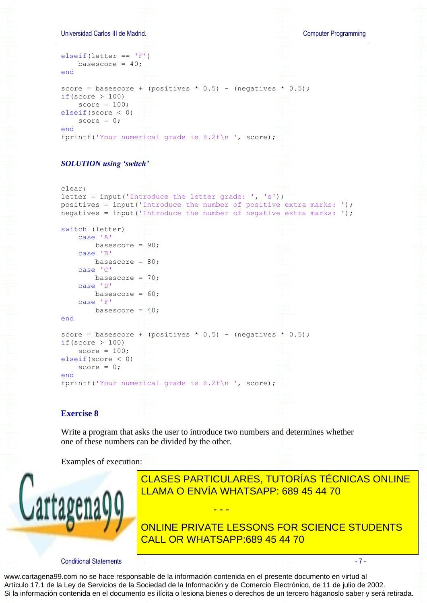

<span id="page-6-0"></span>LLAMA O ENVÍA WHATSAPP: 689 45 44 70 CLASES PARTICULARES, TUTORÍAS TÉCNICAS ONLINE

**ONLINE PRIVATE LESSONS FOR SCIENCE STUDENTS**  $12$  can be divided by  $3$ CALL OR WHATSAPP:689 45 44 70

Conditional Statements - 7 -

Introduce a number: 3

www.cartagena99.com no se hace responsable de la información contenida en el presente documento en virtud al Artículo 17.1 de la Ley de Servicios de la Sociedad de la Información y de Comercio Electrónico, de 11 de julio de 2002. Si la información contenida en el documento es ilícita o lesiona bienes o derechos de un tercero háganoslo saber y será retirada.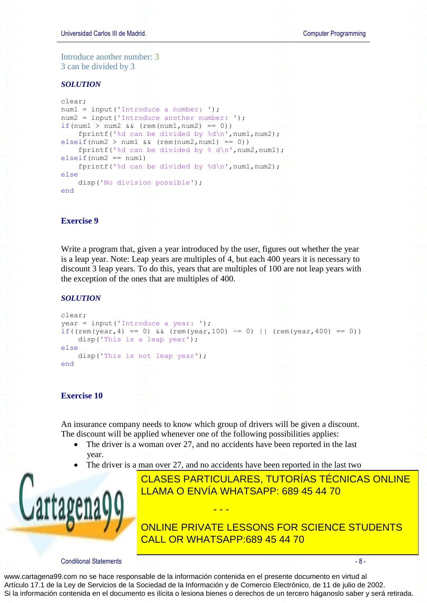

<span id="page-7-0"></span>Write a program that, given a year introduced by the user, figures out whether the year is a leap year. Note: Leap years are multiples of 4, but each 400 years it is necessary to discount 3 leap years. To do this, years that are multiples of 100 are not leap years with the exception of the ones that are multiples of 400.

#### *SOLUTION*

```
clear;
year = input('Introduce a year: ');
if((rem(year, 4) == 0) & (rem(year, 100) ~= 0) || (rem(year, 400) == 0))
     disp('This is a leap year');
else
     disp('This is not leap year');
end
```
#### <span id="page-7-1"></span>**Exercise 10**

An insurance company needs to know which group of drivers will be given a discount. The discount will be applied whenever one of the following possibilities applies:

- The driver is a woman over 27, and no accidents have been reported in the last year.
- The driver is a man over 27, and no accidents have been reported in the last two

- - -



The driver is a north states in the last five the last five the last five the last five the last five the last five the last five the last five the last five the last five the last five the last five the last five the last CLASES PARTICULARES, TUTORÍAS TÉCNICAS ONLINE

> ONLINE PRIVATE LESSONS FOR SCIENCE STUDENTS CALL OR WHATSAPP:689 45 44 70

#### Conditional Statements - 8 -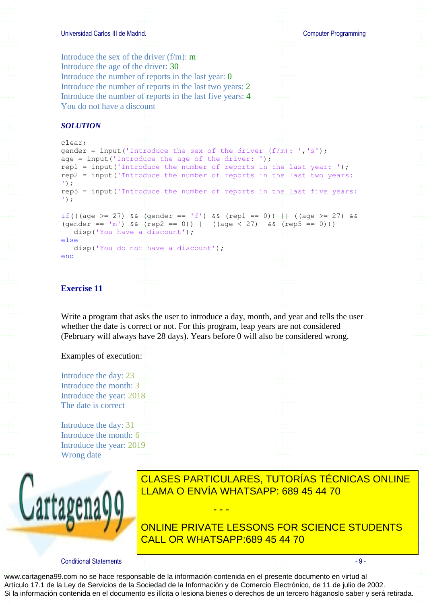

<span id="page-8-0"></span>Write a program that asks the user to introduce a day, month, and year and tells the user whether the date is correct or not. For this program, leap years are not considered (February will always have 28 days). Years before 0 will also be considered wrong.

#### Examples of execution:

Introduce the day: 23 Introduce the month: 3 Introduce the year: 2018 The date is correct

Introduce the day: 31 Introduce the month: 6 Introduce the year: 2019 Wrong date





CLASES PARTICULARES, TUTORÍAS TÉCNICAS ONLINE LLAMA O ENVÍA WHATSAPP: 689 45 44 70

ONLINE PRIVATE LESSONS FOR SCIENCE STUDENTS CALL OR WHATSAPP:689 45 44 70

Conditional Statements - 9 -

www.cartagena99.com no se hace responsable de la información contenida en el presente documento en virtud al Artículo 17.1 de la Ley de Servicios de la Sociedad de la Información y de Comercio Electrónico, de 11 de julio de 2002. Si la información contenida en el documento es ilícita o lesiona bienes o derechos de un tercero háganoslo saber y será retirada.